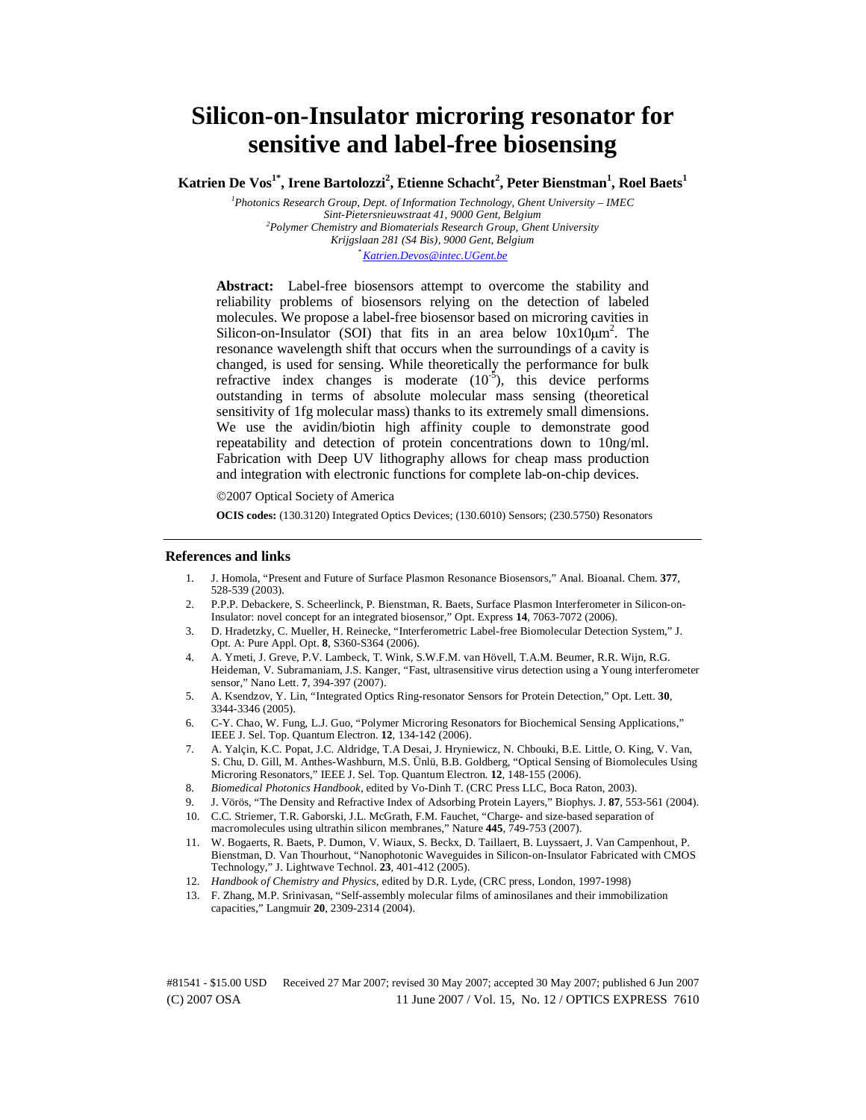# **Silicon-on-Insulator microring resonator for sensitive and label-free biosensing**

 $\bold{K}$ atrien De  $\bold{V}$ os $^{1*}$ , Irene Bartolozzi $^2$ , Etienne Schacht $^2$ , Peter Bienstman $^1$ , Roel Baets $^1$ 

*1 Photonics Research Group, Dept. of Information Technology, Ghent University – IMEC Sint-Pietersnieuwstraat 41, 9000 Gent, Belgium 2 Polymer Chemistry and Biomaterials Research Group, Ghent University Krijgslaan 281 (S4 Bis), 9000 Gent, Belgium \* Katrien.Devos@intec.UGent.be*

**Abstract:** Label-free biosensors attempt to overcome the stability and reliability problems of biosensors relying on the detection of labeled molecules. We propose a label-free biosensor based on microring cavities in Silicon-on-Insulator (SOI) that fits in an area below  $10x10\mu m^2$ . The resonance wavelength shift that occurs when the surroundings of a cavity is changed, is used for sensing. While theoretically the performance for bulk refractive index changes is moderate  $(10^{-5})$ , this device performs outstanding in terms of absolute molecular mass sensing (theoretical sensitivity of 1fg molecular mass) thanks to its extremely small dimensions. We use the avidin/biotin high affinity couple to demonstrate good repeatability and detection of protein concentrations down to 10ng/ml. Fabrication with Deep UV lithography allows for cheap mass production and integration with electronic functions for complete lab-on-chip devices.

©2007 Optical Society of America

**OCIS codes:** (130.3120) Integrated Optics Devices; (130.6010) Sensors; (230.5750) Resonators

#### **References and links**

- 1. J. Homola, "Present and Future of Surface Plasmon Resonance Biosensors," Anal. Bioanal. Chem. **377**, 528-539 (2003).
- 2. P.P.P. Debackere, S. Scheerlinck, P. Bienstman, R. Baets, Surface Plasmon Interferometer in Silicon-on-Insulator: novel concept for an integrated biosensor," Opt. Express **14**, 7063-7072 (2006).
- 3. D. Hradetzky, C. Mueller, H. Reinecke, "Interferometric Label-free Biomolecular Detection System," J. Opt. A: Pure Appl. Opt. **8**, S360-S364 (2006).
- 4. A. Ymeti, J. Greve, P.V. Lambeck, T. Wink, S.W.F.M. van Hövell, T.A.M. Beumer, R.R. Wijn, R.G. Heideman, V. Subramaniam, J.S. Kanger, "Fast, ultrasensitive virus detection using a Young interferometer sensor," Nano Lett. **7**, 394-397 (2007).
- 5. A. Ksendzov, Y. Lin, "Integrated Optics Ring-resonator Sensors for Protein Detection," Opt. Lett. **30**, 3344-3346 (2005).
- 6. C-Y. Chao, W. Fung, L.J. Guo, "Polymer Microring Resonators for Biochemical Sensing Applications," IEEE J. Sel. Top. Quantum Electron. **12**, 134-142 (2006).
- 7. A. Yalçin, K.C. Popat, J.C. Aldridge, T.A Desai, J. Hryniewicz, N. Chbouki, B.E. Little, O. King, V. Van, S. Chu, D. Gill, M. Anthes-Washburn, M.S. Ünlü, B.B. Goldberg, "Optical Sensing of Biomolecules Using Microring Resonators," IEEE J. Sel. Top. Quantum Electron. **12**, 148-155 (2006).
- 8. *Biomedical Photonics Handbook*, edited by Vo-Dinh T. (CRC Press LLC, Boca Raton, 2003).
- 9. J. Vörös, "The Density and Refractive Index of Adsorbing Protein Layers," Biophys. J. **87**, 553-561 (2004).
- 10. C.C. Striemer, T.R. Gaborski, J.L. McGrath, F.M. Fauchet, "Charge- and size-based separation of macromolecules using ultrathin silicon membranes," Nature **445**, 749-753 (2007).
- 11. W. Bogaerts, R. Baets, P. Dumon, V. Wiaux, S. Beckx, D. Taillaert, B. Luyssaert, J. Van Campenhout, P. Bienstman, D. Van Thourhout, "Nanophotonic Waveguides in Silicon-on-Insulator Fabricated with CMOS Technology," J. Lightwave Technol. **23**, 401-412 (2005).
- 12. *Handbook of Chemistry and Physics*, edited by D.R. Lyde, (CRC press, London, 1997-1998)
- 13. F. Zhang, M.P. Srinivasan, "Self-assembly molecular films of aminosilanes and their immobilization capacities," Langmuir **20**, 2309-2314 (2004).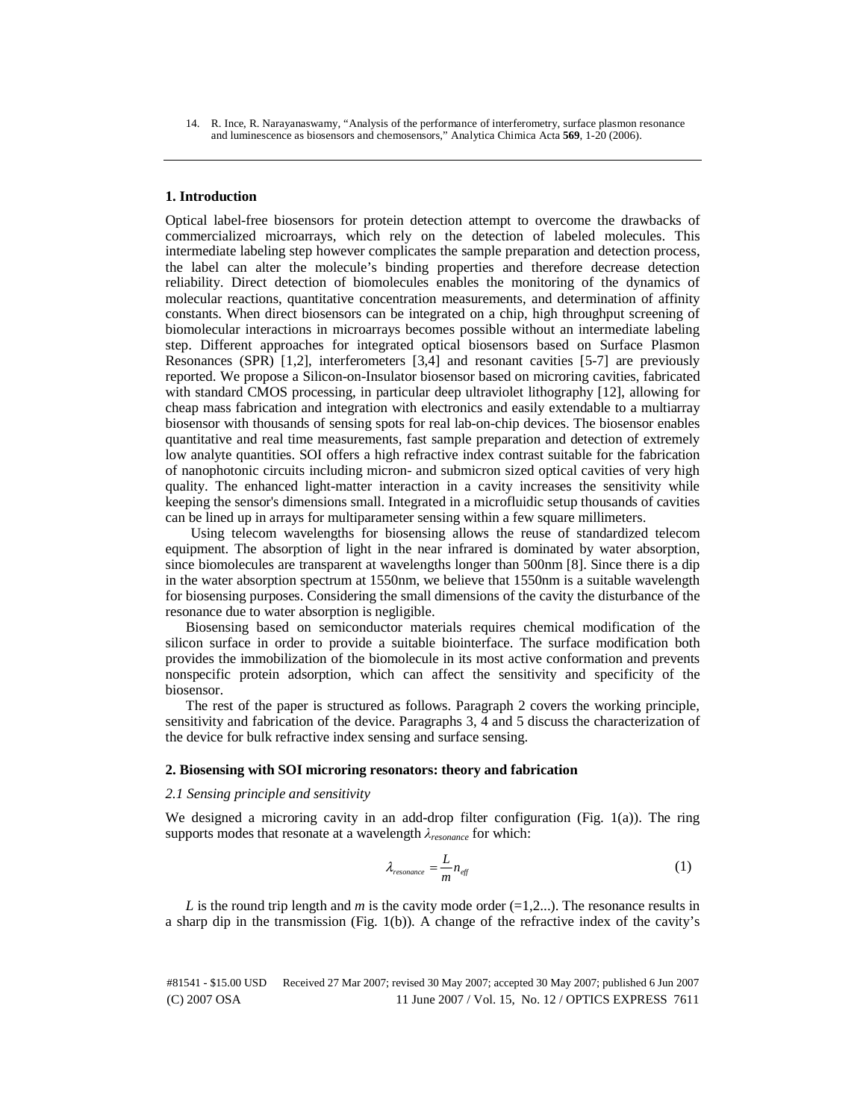14. R. Ince, R. Narayanaswamy, "Analysis of the performance of interferometry, surface plasmon resonance and luminescence as biosensors and chemosensors," Analytica Chimica Acta **569**, 1-20 (2006).

#### **1. Introduction**

Optical label-free biosensors for protein detection attempt to overcome the drawbacks of commercialized microarrays, which rely on the detection of labeled molecules. This intermediate labeling step however complicates the sample preparation and detection process, the label can alter the molecule's binding properties and therefore decrease detection reliability. Direct detection of biomolecules enables the monitoring of the dynamics of molecular reactions, quantitative concentration measurements, and determination of affinity constants. When direct biosensors can be integrated on a chip, high throughput screening of biomolecular interactions in microarrays becomes possible without an intermediate labeling step. Different approaches for integrated optical biosensors based on Surface Plasmon Resonances (SPR) [1,2], interferometers [3,4] and resonant cavities [5-7] are previously reported. We propose a Silicon-on-Insulator biosensor based on microring cavities, fabricated with standard CMOS processing, in particular deep ultraviolet lithography [12], allowing for cheap mass fabrication and integration with electronics and easily extendable to a multiarray biosensor with thousands of sensing spots for real lab-on-chip devices. The biosensor enables quantitative and real time measurements, fast sample preparation and detection of extremely low analyte quantities. SOI offers a high refractive index contrast suitable for the fabrication of nanophotonic circuits including micron- and submicron sized optical cavities of very high quality. The enhanced light-matter interaction in a cavity increases the sensitivity while keeping the sensor's dimensions small. Integrated in a microfluidic setup thousands of cavities can be lined up in arrays for multiparameter sensing within a few square millimeters.

Using telecom wavelengths for biosensing allows the reuse of standardized telecom equipment. The absorption of light in the near infrared is dominated by water absorption, since biomolecules are transparent at wavelengths longer than 500nm [8]. Since there is a dip in the water absorption spectrum at 1550nm, we believe that 1550nm is a suitable wavelength for biosensing purposes. Considering the small dimensions of the cavity the disturbance of the resonance due to water absorption is negligible.

Biosensing based on semiconductor materials requires chemical modification of the silicon surface in order to provide a suitable biointerface. The surface modification both provides the immobilization of the biomolecule in its most active conformation and prevents nonspecific protein adsorption, which can affect the sensitivity and specificity of the biosensor.

The rest of the paper is structured as follows. Paragraph 2 covers the working principle, sensitivity and fabrication of the device. Paragraphs 3, 4 and 5 discuss the characterization of the device for bulk refractive index sensing and surface sensing.

### **2. Biosensing with SOI microring resonators: theory and fabrication**

# *2.1 Sensing principle and sensitivity*

We designed a microring cavity in an add-drop filter configuration (Fig. 1(a)). The ring supports modes that resonate at a wavelength λ*resonance* for which:

$$
\lambda_{resonance} = \frac{L}{m} n_{\text{eff}} \tag{1}
$$

*L* is the round trip length and *m* is the cavity mode order  $(=1,2...)$ . The resonance results in a sharp dip in the transmission (Fig. 1(b)). A change of the refractive index of the cavity's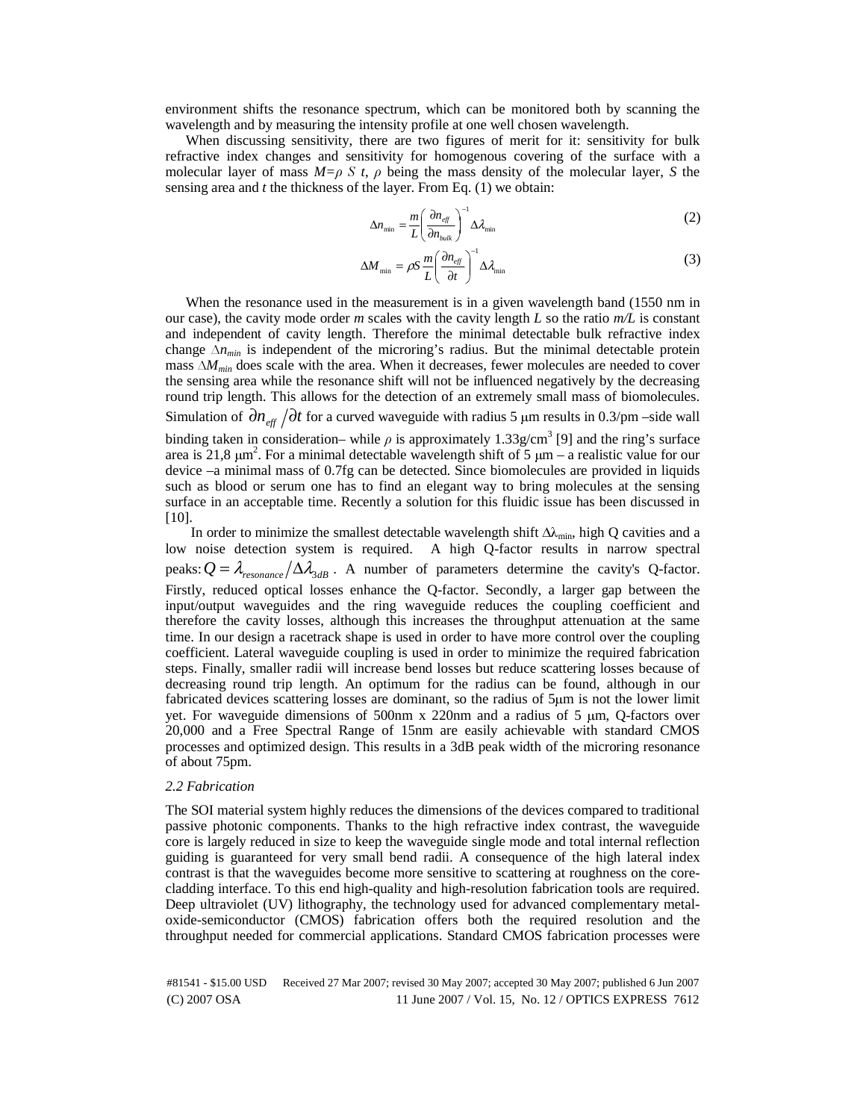environment shifts the resonance spectrum, which can be monitored both by scanning the wavelength and by measuring the intensity profile at one well chosen wavelength.

When discussing sensitivity, there are two figures of merit for it: sensitivity for bulk refractive index changes and sensitivity for homogenous covering of the surface with a molecular layer of mass  $M=p \text{ } S$  t,  $\rho$  being the mass density of the molecular layer, *S* the sensing area and *t* the thickness of the layer. From Eq. (1) we obtain:

$$
\Delta n_{\min} = \frac{m}{L} \left( \frac{\partial n_{\text{eff}}}{\partial n_{\text{bulk}}} \right)^{-1} \Delta \lambda_{\min} \tag{2}
$$

$$
\Delta M_{\min} = \rho S \frac{m}{L} \left( \frac{\partial n_{\text{eff}}}{\partial t} \right)^{-1} \Delta \lambda_{\min} \tag{3}
$$

When the resonance used in the measurement is in a given wavelength band (1550 nm in our case), the cavity mode order  $m$  scales with the cavity length  $L$  so the ratio  $m/L$  is constant and independent of cavity length. Therefore the minimal detectable bulk refractive index change ∆*nmin* is independent of the microring's radius. But the minimal detectable protein mass ∆*M<sub>min</sub>* does scale with the area. When it decreases, fewer molecules are needed to cover the sensing area while the resonance shift will not be influenced negatively by the decreasing round trip length. This allows for the detection of an extremely small mass of biomolecules. Simulation of  $\partial n_{\text{eff}}/\partial t$  for a curved waveguide with radius 5 µm results in 0.3/pm –side wall binding taken in consideration– while  $\rho$  is approximately 1.33g/cm<sup>3</sup> [9] and the ring's surface area is 21,8  $\mu$ m<sup>2</sup>. For a minimal detectable wavelength shift of 5  $\mu$ m – a realistic value for our device –a minimal mass of 0.7fg can be detected. Since biomolecules are provided in liquids such as blood or serum one has to find an elegant way to bring molecules at the sensing surface in an acceptable time. Recently a solution for this fluidic issue has been discussed in  $[10]$ .

In order to minimize the smallest detectable wavelength shift  $\Delta\lambda_{\min}$ , high Q cavities and a low noise detection system is required. A high Q-factor results in narrow spectral peaks:  $Q = \lambda_{resonance} / \Delta \lambda_{3dB}$ . A number of parameters determine the cavity's Q-factor. Firstly, reduced optical losses enhance the Q-factor. Secondly, a larger gap between the input/output waveguides and the ring waveguide reduces the coupling coefficient and therefore the cavity losses, although this increases the throughput attenuation at the same time. In our design a racetrack shape is used in order to have more control over the coupling coefficient. Lateral waveguide coupling is used in order to minimize the required fabrication steps. Finally, smaller radii will increase bend losses but reduce scattering losses because of decreasing round trip length. An optimum for the radius can be found, although in our fabricated devices scattering losses are dominant, so the radius of 5μm is not the lower limit yet. For waveguide dimensions of 500nm x 220nm and a radius of 5 μm, Q-factors over 20,000 and a Free Spectral Range of 15nm are easily achievable with standard CMOS processes and optimized design. This results in a 3dB peak width of the microring resonance of about 75pm.

### *2.2 Fabrication*

The SOI material system highly reduces the dimensions of the devices compared to traditional passive photonic components. Thanks to the high refractive index contrast, the waveguide core is largely reduced in size to keep the waveguide single mode and total internal reflection guiding is guaranteed for very small bend radii. A consequence of the high lateral index contrast is that the waveguides become more sensitive to scattering at roughness on the corecladding interface. To this end high-quality and high-resolution fabrication tools are required. Deep ultraviolet (UV) lithography, the technology used for advanced complementary metaloxide-semiconductor (CMOS) fabrication offers both the required resolution and the throughput needed for commercial applications. Standard CMOS fabrication processes were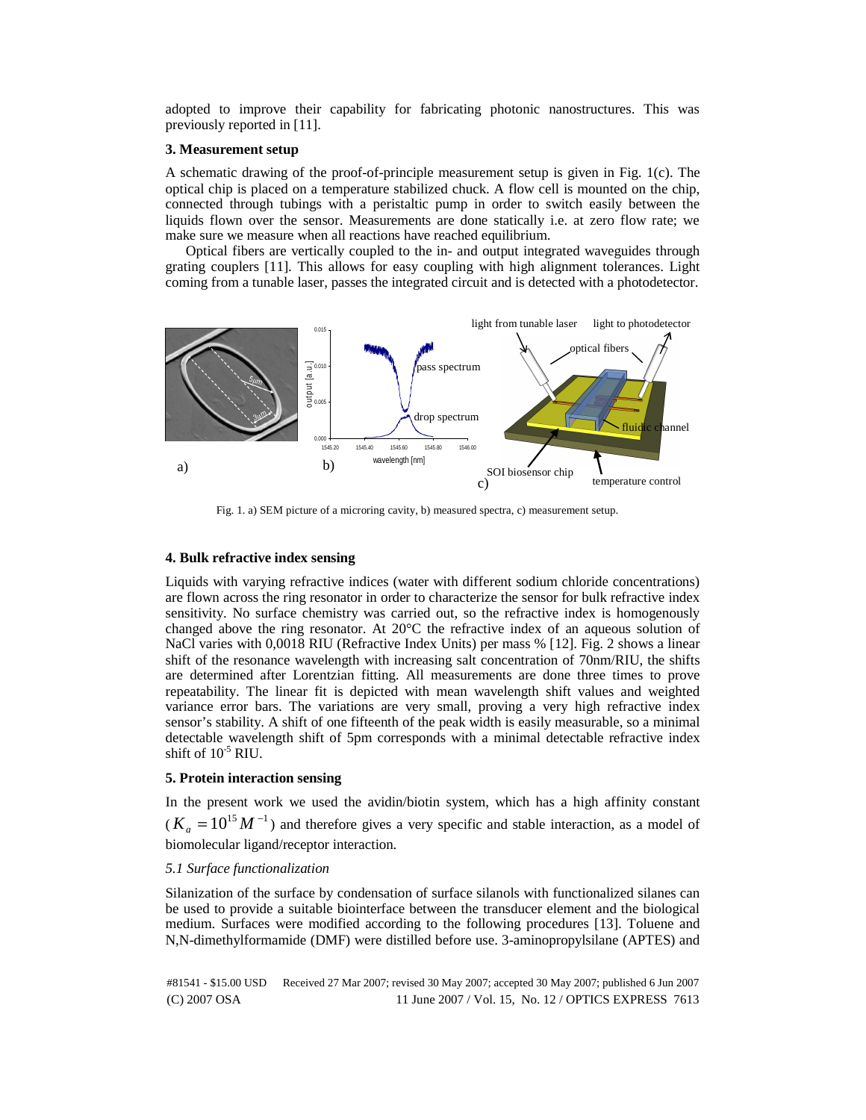adopted to improve their capability for fabricating photonic nanostructures. This was previously reported in [11].

# **3. Measurement setup**

A schematic drawing of the proof-of-principle measurement setup is given in Fig. 1(c). The optical chip is placed on a temperature stabilized chuck. A flow cell is mounted on the chip, connected through tubings with a peristaltic pump in order to switch easily between the liquids flown over the sensor. Measurements are done statically i.e. at zero flow rate; we make sure we measure when all reactions have reached equilibrium.

Optical fibers are vertically coupled to the in- and output integrated waveguides through grating couplers [11]. This allows for easy coupling with high alignment tolerances. Light coming from a tunable laser, passes the integrated circuit and is detected with a photodetector.



Fig. 1. a) SEM picture of a microring cavity, b) measured spectra, c) measurement setup.

# **4. Bulk refractive index sensing**

Liquids with varying refractive indices (water with different sodium chloride concentrations) are flown across the ring resonator in order to characterize the sensor for bulk refractive index sensitivity. No surface chemistry was carried out, so the refractive index is homogenously changed above the ring resonator. At 20°C the refractive index of an aqueous solution of NaCl varies with 0,0018 RIU (Refractive Index Units) per mass % [12]. Fig. 2 shows a linear shift of the resonance wavelength with increasing salt concentration of 70nm/RIU, the shifts are determined after Lorentzian fitting. All measurements are done three times to prove repeatability. The linear fit is depicted with mean wavelength shift values and weighted variance error bars. The variations are very small, proving a very high refractive index sensor's stability. A shift of one fifteenth of the peak width is easily measurable, so a minimal detectable wavelength shift of 5pm corresponds with a minimal detectable refractive index shift of  $10^{-5}$  RIU.

# **5. Protein interaction sensing**

In the present work we used the avidin/biotin system, which has a high affinity constant  $(K_a = 10^{15} M^{-1})$  and therefore gives a very specific and stable interaction, as a model of biomolecular ligand/receptor interaction.

#### *5.1 Surface functionalization*

Silanization of the surface by condensation of surface silanols with functionalized silanes can be used to provide a suitable biointerface between the transducer element and the biological medium. Surfaces were modified according to the following procedures [13]. Toluene and N,N-dimethylformamide (DMF) were distilled before use. 3-aminopropylsilane (APTES) and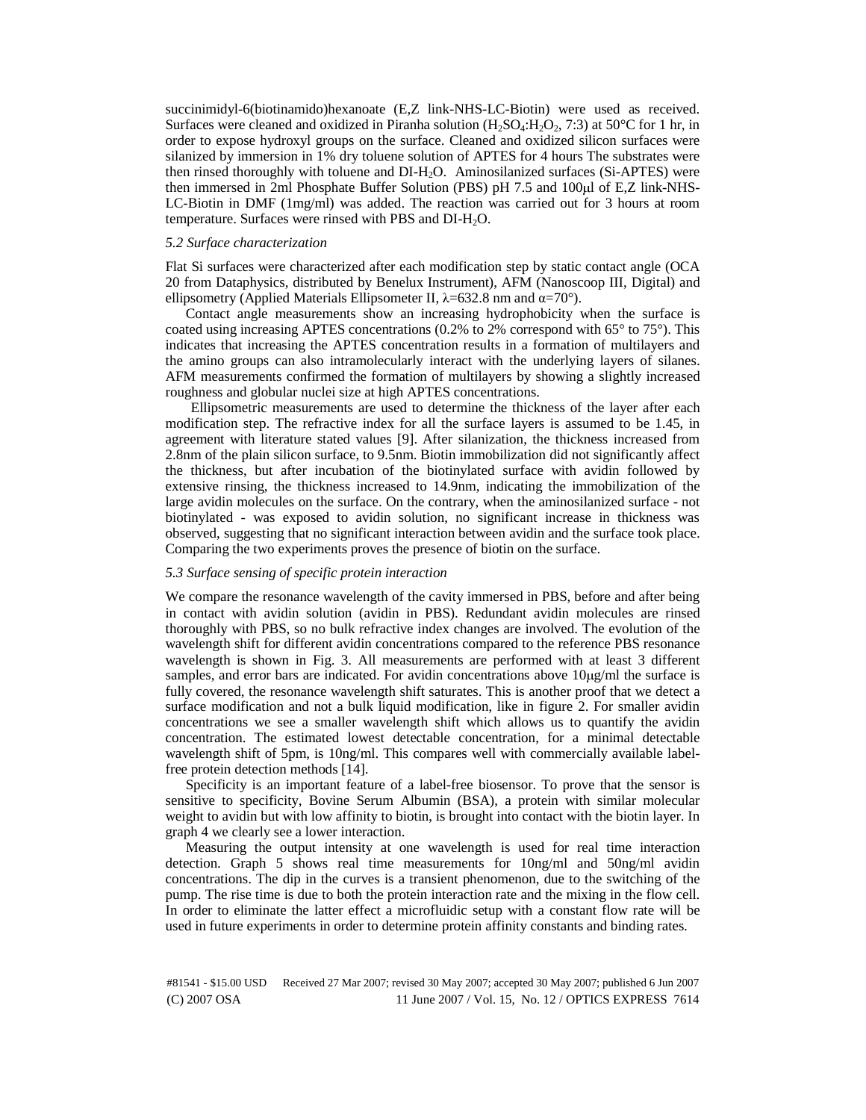succinimidyl-6(biotinamido)hexanoate (E,Z link-NHS-LC-Biotin) were used as received. Surfaces were cleaned and oxidized in Piranha solution  $(H_2SO_4:H_2O_2, 7:3)$  at 50°C for 1 hr, in order to expose hydroxyl groups on the surface. Cleaned and oxidized silicon surfaces were silanized by immersion in 1% dry toluene solution of APTES for 4 hours The substrates were then rinsed thoroughly with toluene and DI-H2O. Aminosilanized surfaces (Si-APTES) were then immersed in 2ml Phosphate Buffer Solution (PBS) pH 7.5 and 100μl of E,Z link-NHS-LC-Biotin in DMF (1mg/ml) was added. The reaction was carried out for 3 hours at room temperature. Surfaces were rinsed with PBS and DI-H<sub>2</sub>O.

# *5.2 Surface characterization*

Flat Si surfaces were characterized after each modification step by static contact angle (OCA 20 from Dataphysics, distributed by Benelux Instrument), AFM (Nanoscoop III, Digital) and ellipsometry (Applied Materials Ellipsometer II,  $\lambda$ =632.8 nm and α=70°).

Contact angle measurements show an increasing hydrophobicity when the surface is coated using increasing APTES concentrations  $(0.2\%$  to  $2\%$  correspond with  $65^{\circ}$  to  $75^{\circ}$ ). This indicates that increasing the APTES concentration results in a formation of multilayers and the amino groups can also intramolecularly interact with the underlying layers of silanes. AFM measurements confirmed the formation of multilayers by showing a slightly increased roughness and globular nuclei size at high APTES concentrations.

Ellipsometric measurements are used to determine the thickness of the layer after each modification step. The refractive index for all the surface layers is assumed to be 1.45, in agreement with literature stated values [9]. After silanization, the thickness increased from 2.8nm of the plain silicon surface, to 9.5nm. Biotin immobilization did not significantly affect the thickness, but after incubation of the biotinylated surface with avidin followed by extensive rinsing, the thickness increased to 14.9nm, indicating the immobilization of the large avidin molecules on the surface. On the contrary, when the aminosilanized surface - not biotinylated - was exposed to avidin solution, no significant increase in thickness was observed, suggesting that no significant interaction between avidin and the surface took place. Comparing the two experiments proves the presence of biotin on the surface.

# *5.3 Surface sensing of specific protein interaction*

We compare the resonance wavelength of the cavity immersed in PBS, before and after being in contact with avidin solution (avidin in PBS). Redundant avidin molecules are rinsed thoroughly with PBS, so no bulk refractive index changes are involved. The evolution of the wavelength shift for different avidin concentrations compared to the reference PBS resonance wavelength is shown in Fig. 3. All measurements are performed with at least 3 different samples, and error bars are indicated. For avidin concentrations above  $10\mu\text{g/ml}$  the surface is fully covered, the resonance wavelength shift saturates. This is another proof that we detect a surface modification and not a bulk liquid modification, like in figure 2. For smaller avidin concentrations we see a smaller wavelength shift which allows us to quantify the avidin concentration. The estimated lowest detectable concentration, for a minimal detectable wavelength shift of 5pm, is 10ng/ml. This compares well with commercially available labelfree protein detection methods [14].

Specificity is an important feature of a label-free biosensor. To prove that the sensor is sensitive to specificity, Bovine Serum Albumin (BSA), a protein with similar molecular weight to avidin but with low affinity to biotin, is brought into contact with the biotin layer. In graph 4 we clearly see a lower interaction.

Measuring the output intensity at one wavelength is used for real time interaction detection. Graph 5 shows real time measurements for 10ng/ml and 50ng/ml avidin concentrations. The dip in the curves is a transient phenomenon, due to the switching of the pump. The rise time is due to both the protein interaction rate and the mixing in the flow cell. In order to eliminate the latter effect a microfluidic setup with a constant flow rate will be used in future experiments in order to determine protein affinity constants and binding rates.